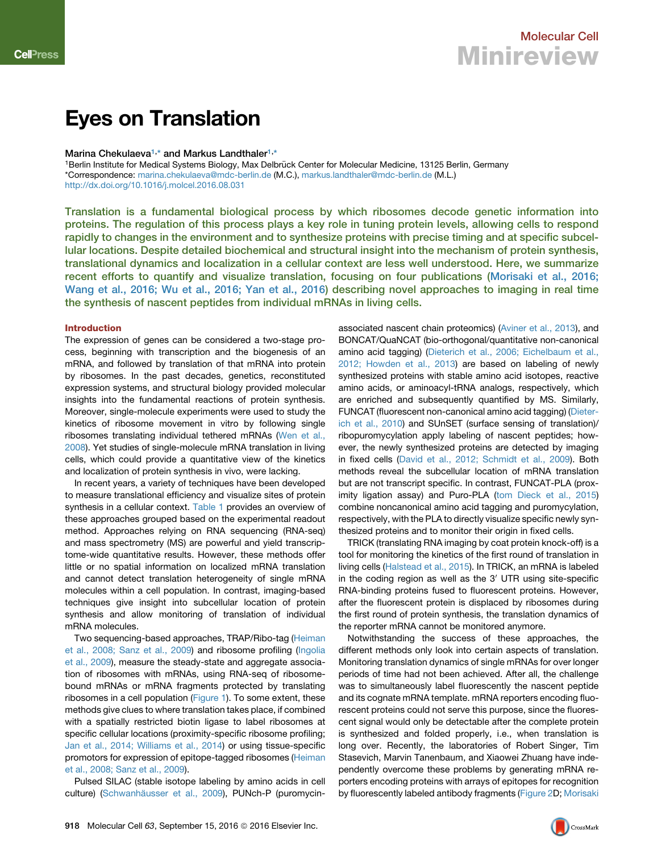

# Eyes on Translation

## Marina Chekulaeva<sup>[1](#page-0-0),[\\*](#page-0-1)</sup> and Markus Landthaler<sup>1,\*</sup>

<span id="page-0-1"></span><span id="page-0-0"></span>1Berlin Institute for Medical Systems Biology, Max Delbrück Center for Molecular Medicine, 13125 Berlin, Germany \*Correspondence: [marina.chekulaeva@mdc-berlin.de](mailto:marina.chekulaeva@mdc-berlin.de) (M.C.), [markus.landthaler@mdc-berlin.de](mailto:markus.landthaler@mdc-berlin.de) (M.L.) <http://dx.doi.org/10.1016/j.molcel.2016.08.031>

Translation is a fundamental biological process by which ribosomes decode genetic information into proteins. The regulation of this process plays a key role in tuning protein levels, allowing cells to respond rapidly to changes in the environment and to synthesize proteins with precise timing and at specific subcellular locations. Despite detailed biochemical and structural insight into the mechanism of protein synthesis, translational dynamics and localization in a cellular context are less well understood. Here, we summarize recent efforts to quantify and visualize translation, focusing on four publications [\(Morisaki et al., 2016;](#page-6-0) [Wang et al., 2016; Wu et al., 2016; Yan et al., 2016\)](#page-6-0) describing novel approaches to imaging in real time the synthesis of nascent peptides from individual mRNAs in living cells.

## Introduction

The expression of genes can be considered a two-stage process, beginning with transcription and the biogenesis of an mRNA, and followed by translation of that mRNA into protein by ribosomes. In the past decades, genetics, reconstituted expression systems, and structural biology provided molecular insights into the fundamental reactions of protein synthesis. Moreover, single-molecule experiments were used to study the kinetics of ribosome movement in vitro by following single ribosomes translating individual tethered mRNAs ([Wen et al.,](#page-7-0) [2008](#page-7-0)). Yet studies of single-molecule mRNA translation in living cells, which could provide a quantitative view of the kinetics and localization of protein synthesis in vivo, were lacking.

In recent years, a variety of techniques have been developed to measure translational efficiency and visualize sites of protein synthesis in a cellular context. [Table 1](#page-1-0) provides an overview of these approaches grouped based on the experimental readout method. Approaches relying on RNA sequencing (RNA-seq) and mass spectrometry (MS) are powerful and yield transcriptome-wide quantitative results. However, these methods offer little or no spatial information on localized mRNA translation and cannot detect translation heterogeneity of single mRNA molecules within a cell population. In contrast, imaging-based techniques give insight into subcellular location of protein synthesis and allow monitoring of translation of individual mRNA molecules.

Two sequencing-based approaches, TRAP/Ribo-tag ([Heiman](#page-6-1) [et al., 2008; Sanz et al., 2009\)](#page-6-1) and ribosome profiling ([Ingolia](#page-6-2) [et al., 2009](#page-6-2)), measure the steady-state and aggregate association of ribosomes with mRNAs, using RNA-seq of ribosomebound mRNAs or mRNA fragments protected by translating ribosomes in a cell population [\(Figure 1\)](#page-3-0). To some extent, these methods give clues to where translation takes place, if combined with a spatially restricted biotin ligase to label ribosomes at specific cellular locations (proximity-specific ribosome profiling; [Jan et al., 2014; Williams et al., 2014](#page-6-3)) or using tissue-specific promotors for expression of epitope-tagged ribosomes ([Heiman](#page-6-1) [et al., 2008; Sanz et al., 2009](#page-6-1)).

Pulsed SILAC (stable isotope labeling by amino acids in cell culture) (Schwanhä[usser et al., 2009\)](#page-6-4), PUNch-P (puromycin-

associated nascent chain proteomics) ([Aviner et al., 2013](#page-6-5)), and BONCAT/QuaNCAT (bio-orthogonal/quantitative non-canonical amino acid tagging) [\(Dieterich et al., 2006; Eichelbaum et al.,](#page-6-6) [2012; Howden et al., 2013](#page-6-6)) are based on labeling of newly synthesized proteins with stable amino acid isotopes, reactive amino acids, or aminoacyl-tRNA analogs, respectively, which are enriched and subsequently quantified by MS. Similarly, FUNCAT (fluorescent non-canonical amino acid tagging) [\(Dieter](#page-6-7)[ich et al., 2010\)](#page-6-7) and SUnSET (surface sensing of translation)/ ribopuromycylation apply labeling of nascent peptides; however, the newly synthesized proteins are detected by imaging in fixed cells ([David et al., 2012; Schmidt et al., 2009\)](#page-6-8). Both methods reveal the subcellular location of mRNA translation but are not transcript specific. In contrast, FUNCAT-PLA (proximity ligation assay) and Puro-PLA [\(tom Dieck et al., 2015\)](#page-7-1) combine noncanonical amino acid tagging and puromycylation, respectively, with the PLA to directly visualize specific newly synthesized proteins and to monitor their origin in fixed cells.

TRICK (translating RNA imaging by coat protein knock-off) is a tool for monitoring the kinetics of the first round of translation in living cells ([Halstead et al., 2015](#page-6-9)). In TRICK, an mRNA is labeled in the coding region as well as the 3' UTR using site-specific RNA-binding proteins fused to fluorescent proteins. However, after the fluorescent protein is displaced by ribosomes during the first round of protein synthesis, the translation dynamics of the reporter mRNA cannot be monitored anymore.

Notwithstanding the success of these approaches, the different methods only look into certain aspects of translation. Monitoring translation dynamics of single mRNAs for over longer periods of time had not been achieved. After all, the challenge was to simultaneously label fluorescently the nascent peptide and its cognate mRNA template. mRNA reporters encoding fluorescent proteins could not serve this purpose, since the fluorescent signal would only be detectable after the complete protein is synthesized and folded properly, i.e., when translation is long over. Recently, the laboratories of Robert Singer, Tim Stasevich, Marvin Tanenbaum, and Xiaowei Zhuang have independently overcome these problems by generating mRNA reporters encoding proteins with arrays of epitopes for recognition by fluorescently labeled antibody fragments ([Figure 2D](#page-4-0); [Morisaki](#page-6-0)

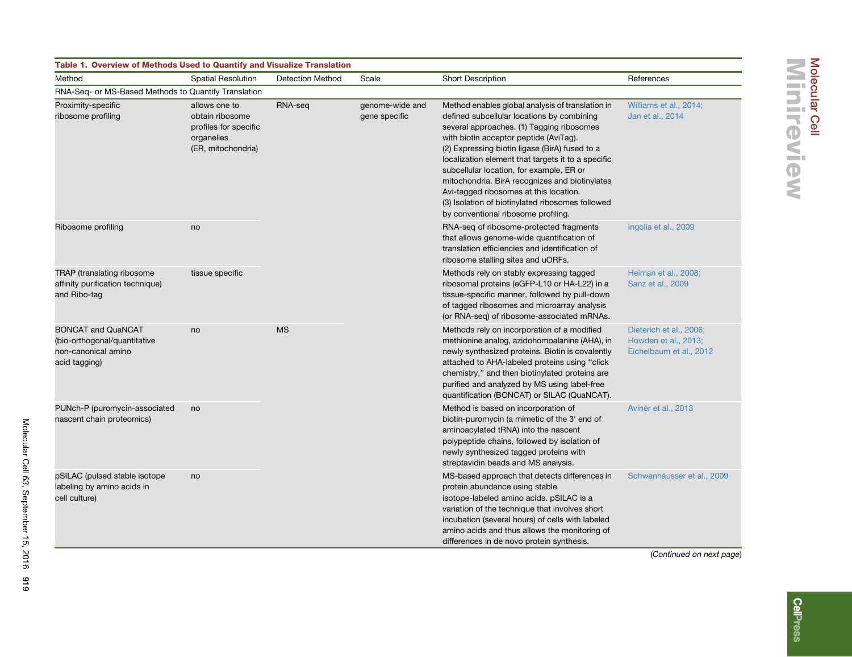|   | í      |
|---|--------|
|   | É<br>ò |
| ٦ |        |
|   |        |
|   |        |
| П |        |
|   |        |
|   |        |

<span id="page-1-0"></span>

| Table 1. Overview of Methods Used to Quantify and Visualize Translation                           |                                                                                               |                                                          |                                                                                                                                                                                                                                                                                                                                                                                                                                                                                                                                  |                                                                                                                                                                                                                                                                                                                                                     |                                                                            |  |
|---------------------------------------------------------------------------------------------------|-----------------------------------------------------------------------------------------------|----------------------------------------------------------|----------------------------------------------------------------------------------------------------------------------------------------------------------------------------------------------------------------------------------------------------------------------------------------------------------------------------------------------------------------------------------------------------------------------------------------------------------------------------------------------------------------------------------|-----------------------------------------------------------------------------------------------------------------------------------------------------------------------------------------------------------------------------------------------------------------------------------------------------------------------------------------------------|----------------------------------------------------------------------------|--|
| Method                                                                                            | <b>Spatial Resolution</b>                                                                     | <b>Detection Method</b>                                  | Scale                                                                                                                                                                                                                                                                                                                                                                                                                                                                                                                            | <b>Short Description</b>                                                                                                                                                                                                                                                                                                                            | References                                                                 |  |
| RNA-Seq- or MS-Based Methods to Quantify Translation                                              |                                                                                               |                                                          |                                                                                                                                                                                                                                                                                                                                                                                                                                                                                                                                  |                                                                                                                                                                                                                                                                                                                                                     |                                                                            |  |
| Proximity-specific<br>ribosome profiling                                                          | allows one to<br>obtain ribosome<br>profiles for specific<br>organelles<br>(ER, mitochondria) | RNA-seq<br>genome-wide and<br>gene specific<br><b>MS</b> | Method enables global analysis of translation in<br>defined subcellular locations by combining<br>several approaches. (1) Tagging ribosomes<br>with biotin acceptor peptide (AviTag).<br>(2) Expressing biotin ligase (BirA) fused to a<br>localization element that targets it to a specific<br>subcellular location, for example, ER or<br>mitochondria. BirA recognizes and biotinylates<br>Avi-tagged ribosomes at this location.<br>(3) Isolation of biotinylated ribosomes followed<br>by conventional ribosome profiling. | Williams et al., 2014;<br>Jan et al., 2014                                                                                                                                                                                                                                                                                                          |                                                                            |  |
| Ribosome profiling                                                                                | no                                                                                            |                                                          |                                                                                                                                                                                                                                                                                                                                                                                                                                                                                                                                  | RNA-seq of ribosome-protected fragments<br>that allows genome-wide quantification of<br>translation efficiencies and identification of<br>ribosome stalling sites and uORFs.                                                                                                                                                                        | Ingolia et al., 2009                                                       |  |
| TRAP (translating ribosome<br>affinity purification technique)<br>and Ribo-tag                    | tissue specific                                                                               |                                                          |                                                                                                                                                                                                                                                                                                                                                                                                                                                                                                                                  | Methods rely on stably expressing tagged<br>ribosomal proteins (eGFP-L10 or HA-L22) in a<br>tissue-specific manner, followed by pull-down<br>of tagged ribosomes and microarray analysis<br>(or RNA-seq) of ribosome-associated mRNAs.                                                                                                              | Heiman et al., 2008;<br>Sanz et al., 2009                                  |  |
| <b>BONCAT and QuaNCAT</b><br>(bio-orthogonal/quantitative<br>non-canonical amino<br>acid tagging) | no                                                                                            |                                                          |                                                                                                                                                                                                                                                                                                                                                                                                                                                                                                                                  | Methods rely on incorporation of a modified<br>methionine analog, azidohomoalanine (AHA), in<br>newly synthesized proteins. Biotin is covalently<br>attached to AHA-labeled proteins using "click"<br>chemistry," and then biotinylated proteins are<br>purified and analyzed by MS using label-free<br>quantification (BONCAT) or SILAC (QuaNCAT). | Dieterich et al., 2006;<br>Howden et al., 2013;<br>Eichelbaum et al., 2012 |  |
| PUNch-P (puromycin-associated<br>nascent chain proteomics)                                        | no                                                                                            |                                                          |                                                                                                                                                                                                                                                                                                                                                                                                                                                                                                                                  | Method is based on incorporation of<br>biotin-puromycin (a mimetic of the 3' end of<br>aminoacylated tRNA) into the nascent<br>polypeptide chains, followed by isolation of<br>newly synthesized tagged proteins with<br>streptavidin beads and MS analysis.                                                                                        | Aviner et al., 2013                                                        |  |
| pSILAC (pulsed stable isotope<br>labeling by amino acids in<br>cell culture)                      | no                                                                                            |                                                          |                                                                                                                                                                                                                                                                                                                                                                                                                                                                                                                                  | MS-based approach that detects differences in<br>protein abundance using stable<br>isotope-labeled amino acids. pSILAC is a<br>variation of the technique that involves short<br>incubation (several hours) of cells with labeled<br>amino acids and thus allows the monitoring of<br>differences in de novo protein synthesis.                     | Schwanhäusser et al., 2009                                                 |  |

(*Continued on next page*)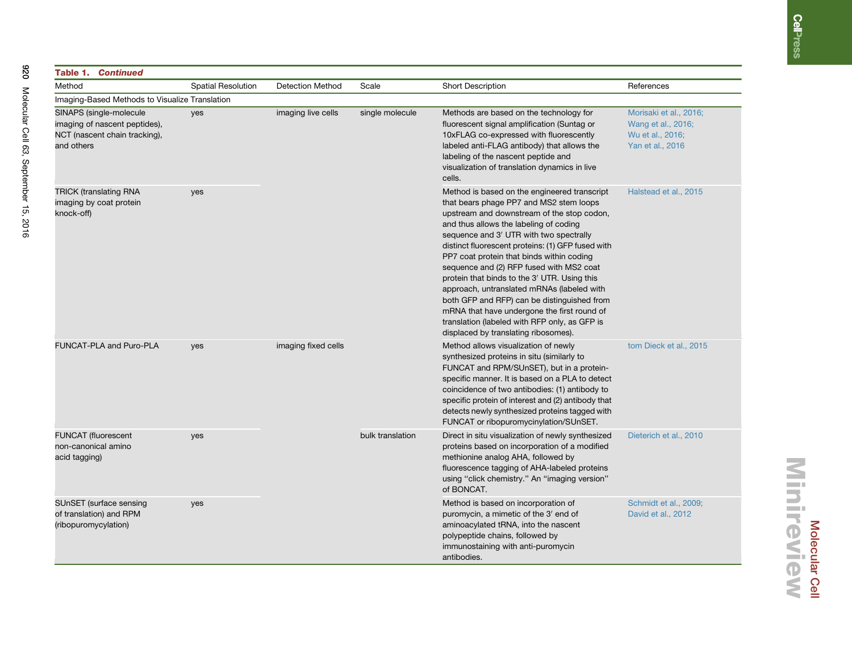#### Table 1. ContinuedMethod Spatial Resolution Detection Method Scale Short Description References Imaging-Based Methods to Visualize Translation SINAPS (single-molecule imaging of nascent peptides), NCT (nascent chain tracking), and othersyes imaging live cells single molecule Methods are based on the technology for fluorescent signal amplification (Suntag or 10xFLAG co-expressed with fluorescently labeled anti-FLAG antibody) that allows the labeling of the nascent peptide and visualization of translation dynamics in live cells.[Morisaki](#page-6-15) et al., 2016; [Wang](#page-6-15) et al., 2016; Wu et al., [2016;](#page-6-15) Yan et al., [2016](#page-6-15) TRICK (translating RNA imaging by coat protein knock-off) yes Method is based on the engineered transcript that bears phage PP7 and MS2 stem loops upstream and downstream of the stop codon, and thus allows the labeling of coding sequence and 3' UTR with two spectrally distinct fluorescent proteins: (1) GFP fused with PP7 coat protein that binds within coding sequence and (2) RFP fused with MS2 coat protein that binds to the 3' UTR. Using this approach, untranslated mRNAs (labeled with both GFP and RFP) can be distinguished from mRNA that have undergone the first round of translation (labeled with RFP only, as GFP is displaced by translating ribosomes). [Halstead](#page-6-16) et al., 2015 FUNCAT-PLA and Puro-PLA yes imaging fixed cells Method allows visualization of newly synthesized proteins in situ (similarly to FUNCAT and RPM/SUnSET), but in <sup>a</sup> proteinspecific manner. It is based on <sup>a</sup> PLA to detect coincidence of two antibodies: (1) antibody to specific protein of interest and (2) antibody that detects newly synthesized proteins tagged with FUNCAT or ribopuromycinylation/SUnSET. tom [Dieck](#page-7-3) et al., 2015 FUNCAT (fluorescent non-canonical aminoacid tagging) yes bulk translation Direct in situ visualization of newly synthesized proteins based on incorporation of <sup>a</sup> modified methionine analog AHA, followed by fluorescence tagging of AHA-labeled proteins using "click chemistry." An "imaging version" of BONCAT.[Dieterich](#page-6-17) et al., 2010 SUnSET (surface sensing of translation) and RPM (ribopuromycylation) yes Method is based on incorporation of puromycin, a mimetic of the 3' end of aminoacylated tRNA, into the nascent polypeptide chains, followed by immunostaining with anti-puromycin antibodies.[Schmidt](#page-6-18) et al., 2009; [David](#page-6-18) et al., 2012

920 Molecular Cell 63, September 15, 2016 Molecular Cell *63*, September 15, 2016

> MinireviewMinireview<br>Minireview Molecular Cell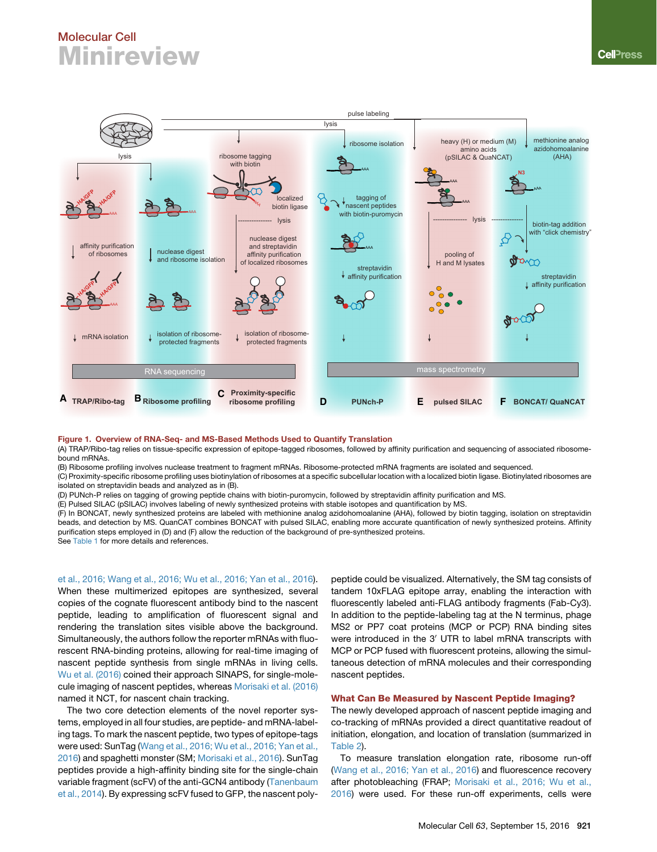<span id="page-3-0"></span>

### Figure 1. Overview of RNA-Seq- and MS-Based Methods Used to Quantify Translation

(A) TRAP/Ribo-tag relies on tissue-specific expression of epitope-tagged ribosomes, followed by affinity purification and sequencing of associated ribosomebound mRNAs.

(B) Ribosome profiling involves nuclease treatment to fragment mRNAs. Ribosome-protected mRNA fragments are isolated and sequenced.

(C) Proximity-specific ribosome profiling uses biotinylation of ribosomes at a specific subcellular location with a localized biotin ligase. Biotinylated ribosomes are isolated on streptavidin beads and analyzed as in (B).

(D) PUNch-P relies on tagging of growing peptide chains with biotin-puromycin, followed by streptavidin affinity purification and MS.

(E) Pulsed SILAC (pSILAC) involves labeling of newly synthesized proteins with stable isotopes and quantification by MS.

(F) In BONCAT, newly synthesized proteins are labeled with methionine analog azidohomoalanine (AHA), followed by biotin tagging, isolation on streptavidin beads, and detection by MS. QuanCAT combines BONCAT with pulsed SILAC, enabling more accurate quantification of newly synthesized proteins. Affinity purification steps employed in (D) and (F) allow the reduction of the background of pre-synthesized proteins. See [Table 1](#page-1-0) for more details and references.

[et al., 2016; Wang et al., 2016; Wu et al., 2016; Yan et al., 2016\)](#page-6-0). When these multimerized epitopes are synthesized, several copies of the cognate fluorescent antibody bind to the nascent peptide, leading to amplification of fluorescent signal and rendering the translation sites visible above the background. Simultaneously, the authors follow the reporter mRNAs with fluorescent RNA-binding proteins, allowing for real-time imaging of nascent peptide synthesis from single mRNAs in living cells. [Wu et al. \(2016\)](#page-7-4) coined their approach SINAPS, for single-molecule imaging of nascent peptides, whereas [Morisaki et al. \(2016\)](#page-6-0) named it NCT, for nascent chain tracking.

The two core detection elements of the novel reporter systems, employed in all four studies, are peptide- and mRNA-labeling tags. To mark the nascent peptide, two types of epitope-tags were used: SunTag ([Wang et al., 2016; Wu et al., 2016; Yan et al.,](#page-7-5) [2016\)](#page-7-5) and spaghetti monster (SM; [Morisaki et al., 2016\)](#page-6-0). SunTag peptides provide a high-affinity binding site for the single-chain variable fragment (scFV) of the anti-GCN4 antibody [\(Tanenbaum](#page-6-19) [et al., 2014\)](#page-6-19). By expressing scFV fused to GFP, the nascent polypeptide could be visualized. Alternatively, the SM tag consists of tandem 10xFLAG epitope array, enabling the interaction with fluorescently labeled anti-FLAG antibody fragments (Fab-Cy3). In addition to the peptide-labeling tag at the N terminus, phage MS2 or PP7 coat proteins (MCP or PCP) RNA binding sites were introduced in the 3' UTR to label mRNA transcripts with MCP or PCP fused with fluorescent proteins, allowing the simultaneous detection of mRNA molecules and their corresponding nascent peptides.

## What Can Be Measured by Nascent Peptide Imaging?

The newly developed approach of nascent peptide imaging and co-tracking of mRNAs provided a direct quantitative readout of initiation, elongation, and location of translation (summarized in [Table 2](#page-5-0)).

To measure translation elongation rate, ribosome run-off [\(Wang et al., 2016; Yan et al., 2016\)](#page-7-5) and fluorescence recovery after photobleaching (FRAP; [Morisaki et al., 2016; Wu et al.,](#page-6-0) [2016\)](#page-6-0) were used. For these run-off experiments, cells were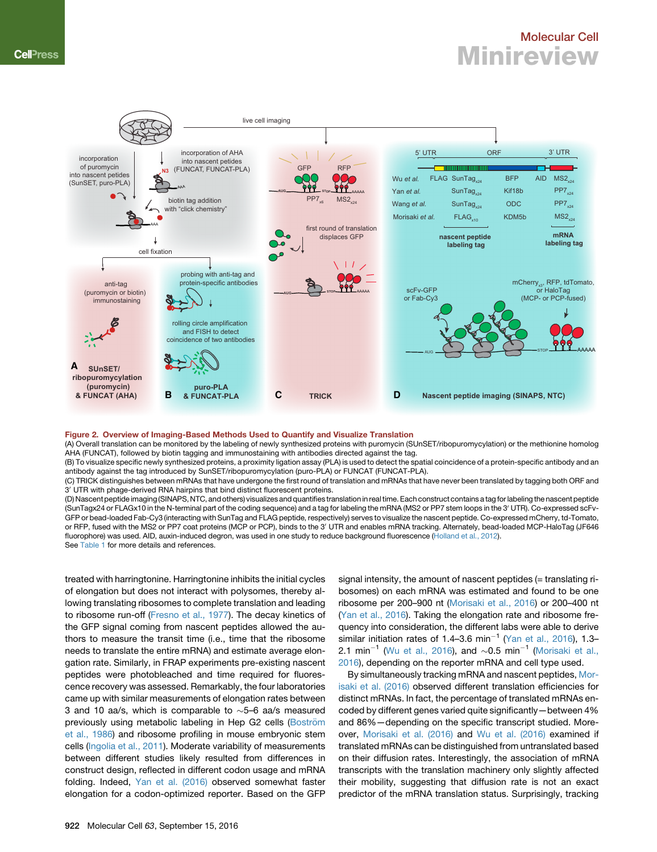<span id="page-4-0"></span>

### Figure 2. Overview of Imaging-Based Methods Used to Quantify and Visualize Translation

(A) Overall translation can be monitored by the labeling of newly synthesized proteins with puromycin (SUnSET/ribopuromycylation) or the methionine homolog AHA (FUNCAT), followed by biotin tagging and immunostaining with antibodies directed against the tag.

(B) To visualize specific newly synthesized proteins, a proximity ligation assay (PLA) is used to detect the spatial coincidence of a protein-specific antibody and an antibody against the tag introduced by SunSET/ribopuromycylation (puro-PLA) or FUNCAT (FUNCAT-PLA).

(C) TRICK distinguishes between mRNAs that have undergone the first round of translation and mRNAs that have never been translated by tagging both ORF and 3' UTR with phage-derived RNA hairpins that bind distinct fluorescent proteins.

(D) Nascent peptide imaging (SINAPS, NTC, and others) visualizes and quantifies translation in real time. Each construct contains a tag for labeling the nascent peptide (SunTagx24 or FLAGx10 in the N-terminal part of the coding sequence) and a tag for labeling the mRNA (MS2 or PP7 stem loops in the 3<sup>0</sup> UTR). Co-expressed scFv-GFP or bead-loaded Fab-Cy3 (interacting with SunTag and FLAG peptide, respectively) serves to visualize the nascent peptide. Co-expressed mCherry, td-Tomato, or RFP, fused with the MS2 or PP7 coat proteins (MCP or PCP), binds to the 3' UTR and enables mRNA tracking. Alternately, bead-loaded MCP-HaloTag (JF646 fluorophore) was used. AID, auxin-induced degron, was used in one study to reduce background fluorescence [\(Holland et al., 2012\)](#page-6-23). See [Table 1](#page-1-0) for more details and references

treated with harringtonine. Harringtonine inhibits the initial cycles of elongation but does not interact with polysomes, thereby allowing translating ribosomes to complete translation and leading to ribosome run-off [\(Fresno et al., 1977\)](#page-6-20). The decay kinetics of the GFP signal coming from nascent peptides allowed the authors to measure the transit time (i.e., time that the ribosome needs to translate the entire mRNA) and estimate average elongation rate. Similarly, in FRAP experiments pre-existing nascent peptides were photobleached and time required for fluorescence recovery was assessed. Remarkably, the four laboratories came up with similar measurements of elongation rates between 3 and 10 aa/s, which is comparable to  $\sim$ 5–6 aa/s measured previously using metabolic labeling in Hep G2 cells (Boström [et al., 1986](#page-6-21)) and ribosome profiling in mouse embryonic stem cells [\(Ingolia et al., 2011\)](#page-6-22). Moderate variability of measurements between different studies likely resulted from differences in construct design, reflected in different codon usage and mRNA folding. Indeed, [Yan et al. \(2016\)](#page-7-6) observed somewhat faster elongation for a codon-optimized reporter. Based on the GFP

signal intensity, the amount of nascent peptides (= translating ribosomes) on each mRNA was estimated and found to be one ribosome per 200–900 nt ([Morisaki et al., 2016](#page-6-0)) or 200–400 nt [\(Yan et al., 2016\)](#page-7-6). Taking the elongation rate and ribosome frequency into consideration, the different labs were able to derive similar initiation rates of 1.4–3.6 min<sup>-1</sup> ([Yan et al., 2016](#page-7-6)), 1.3– 2.1 min<sup>-1</sup> [\(Wu et al., 2016](#page-7-4)), and  $\sim$ 0.5 min<sup>-1</sup> ([Morisaki et al.,](#page-6-0) [2016\)](#page-6-0), depending on the reporter mRNA and cell type used.

By simultaneously tracking mRNA and nascent peptides, [Mor](#page-6-0)[isaki et al. \(2016\)](#page-6-0) observed different translation efficiencies for distinct mRNAs. In fact, the percentage of translated mRNAs encoded by different genes varied quite significantly—between 4% and 86%—depending on the specific transcript studied. Moreover, [Morisaki et al. \(2016\)](#page-6-0) and [Wu et al. \(2016\)](#page-7-4) examined if translated mRNAs can be distinguished from untranslated based on their diffusion rates. Interestingly, the association of mRNA transcripts with the translation machinery only slightly affected their mobility, suggesting that diffusion rate is not an exact predictor of the mRNA translation status. Surprisingly, tracking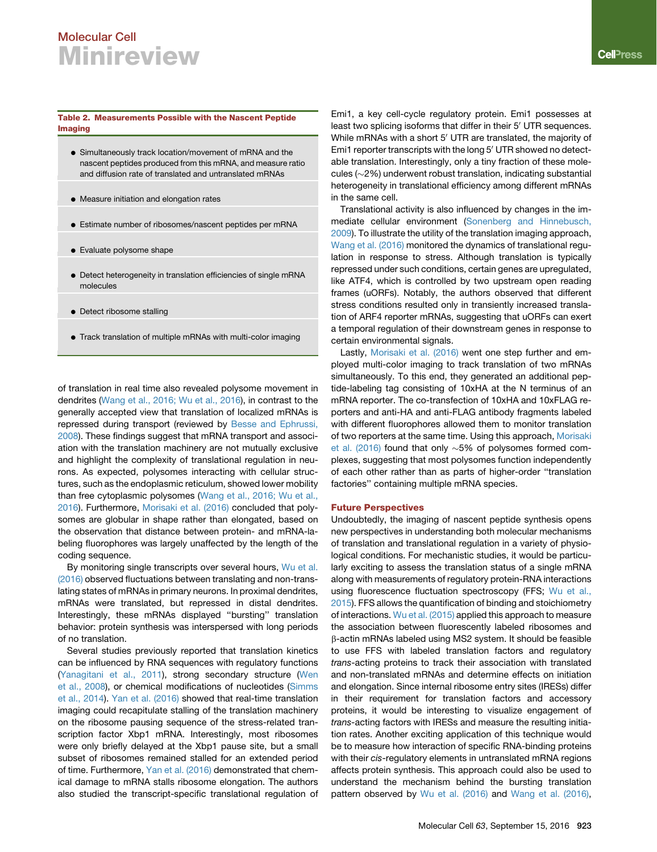<span id="page-5-0"></span>Table 2. Measurements Possible with the Nascent Peptide Imaging

- d Simultaneously track location/movement of mRNA and the nascent peptides produced from this mRNA, and measure ratio and diffusion rate of translated and untranslated mRNAs
- Measure initiation and elongation rates
- d Estimate number of ribosomes/nascent peptides per mRNA
- Evaluate polysome shape
- Detect heterogeneity in translation efficiencies of single mRNA molecules
- Detect ribosome stalling
- $\bullet$  Track translation of multiple mRNAs with multi-color imaging

of translation in real time also revealed polysome movement in dendrites [\(Wang et al., 2016; Wu et al., 2016](#page-7-5)), in contrast to the generally accepted view that translation of localized mRNAs is repressed during transport (reviewed by [Besse and Ephrussi,](#page-6-24) [2008\)](#page-6-24). These findings suggest that mRNA transport and association with the translation machinery are not mutually exclusive and highlight the complexity of translational regulation in neurons. As expected, polysomes interacting with cellular structures, such as the endoplasmic reticulum, showed lower mobility than free cytoplasmic polysomes ([Wang et al., 2016; Wu et al.,](#page-7-5) [2016\)](#page-7-5). Furthermore, [Morisaki et al. \(2016\)](#page-6-0) concluded that polysomes are globular in shape rather than elongated, based on the observation that distance between protein- and mRNA-labeling fluorophores was largely unaffected by the length of the coding sequence.

By monitoring single transcripts over several hours, [Wu et al.](#page-7-4) [\(2016\)](#page-7-4) observed fluctuations between translating and non-translating states of mRNAs in primary neurons. In proximal dendrites, mRNAs were translated, but repressed in distal dendrites. Interestingly, these mRNAs displayed ''bursting'' translation behavior: protein synthesis was interspersed with long periods of no translation.

Several studies previously reported that translation kinetics can be influenced by RNA sequences with regulatory functions [\(Yanagitani et al., 2011\)](#page-7-7), strong secondary structure [\(Wen](#page-7-0) [et al., 2008\)](#page-7-0), or chemical modifications of nucleotides [\(Simms](#page-6-25) [et al., 2014](#page-6-25)). [Yan et al. \(2016\)](#page-7-6) showed that real-time translation imaging could recapitulate stalling of the translation machinery on the ribosome pausing sequence of the stress-related transcription factor Xbp1 mRNA. Interestingly, most ribosomes were only briefly delayed at the Xbp1 pause site, but a small subset of ribosomes remained stalled for an extended period of time. Furthermore, [Yan et al. \(2016\)](#page-7-6) demonstrated that chemical damage to mRNA stalls ribosome elongation. The authors also studied the transcript-specific translational regulation of Emi1, a key cell-cycle regulatory protein. Emi1 possesses at least two splicing isoforms that differ in their 5' UTR sequences. While mRNAs with a short 5' UTR are translated, the majority of Emi1 reporter transcripts with the long 5' UTR showed no detectable translation. Interestingly, only a tiny fraction of these mole- $\alpha$ ules ( $\sim$ 2%) underwent robust translation, indicating substantial heterogeneity in translational efficiency among different mRNAs in the same cell.

Translational activity is also influenced by changes in the immediate cellular environment [\(Sonenberg and Hinnebusch,](#page-6-26) [2009\)](#page-6-26). To illustrate the utility of the translation imaging approach, [Wang et al. \(2016\)](#page-7-5) monitored the dynamics of translational regulation in response to stress. Although translation is typically repressed under such conditions, certain genes are upregulated, like ATF4, which is controlled by two upstream open reading frames (uORFs). Notably, the authors observed that different stress conditions resulted only in transiently increased translation of ARF4 reporter mRNAs, suggesting that uORFs can exert a temporal regulation of their downstream genes in response to certain environmental signals.

Lastly, [Morisaki et al. \(2016\)](#page-6-0) went one step further and employed multi-color imaging to track translation of two mRNAs simultaneously. To this end, they generated an additional peptide-labeling tag consisting of 10xHA at the N terminus of an mRNA reporter. The co-transfection of 10xHA and 10xFLAG reporters and anti-HA and anti-FLAG antibody fragments labeled with different fluorophores allowed them to monitor translation of two reporters at the same time. Using this approach, [Morisaki](#page-6-0) [et al. \(2016\)](#page-6-0) found that only  $\sim$ 5% of polysomes formed complexes, suggesting that most polysomes function independently of each other rather than as parts of higher-order ''translation factories'' containing multiple mRNA species.

### Future Perspectives

Undoubtedly, the imaging of nascent peptide synthesis opens new perspectives in understanding both molecular mechanisms of translation and translational regulation in a variety of physiological conditions. For mechanistic studies, it would be particularly exciting to assess the translation status of a single mRNA along with measurements of regulatory protein-RNA interactions using fluorescence fluctuation spectroscopy (FFS; [Wu et al.,](#page-7-8) [2015\)](#page-7-8). FFS allows the quantification of binding and stoichiometry of interactions. [Wu et al. \(2015\)](#page-7-8) applied this approach to measure the association between fluorescently labeled ribosomes and b-actin mRNAs labeled using MS2 system. It should be feasible to use FFS with labeled translation factors and regulatory *trans*-acting proteins to track their association with translated and non-translated mRNAs and determine effects on initiation and elongation. Since internal ribosome entry sites (IRESs) differ in their requirement for translation factors and accessory proteins, it would be interesting to visualize engagement of *trans-*acting factors with IRESs and measure the resulting initiation rates. Another exciting application of this technique would be to measure how interaction of specific RNA-binding proteins with their *cis*-regulatory elements in untranslated mRNA regions affects protein synthesis. This approach could also be used to understand the mechanism behind the bursting translation pattern observed by [Wu et al. \(2016\)](#page-7-4) and [Wang et al. \(2016\),](#page-7-5)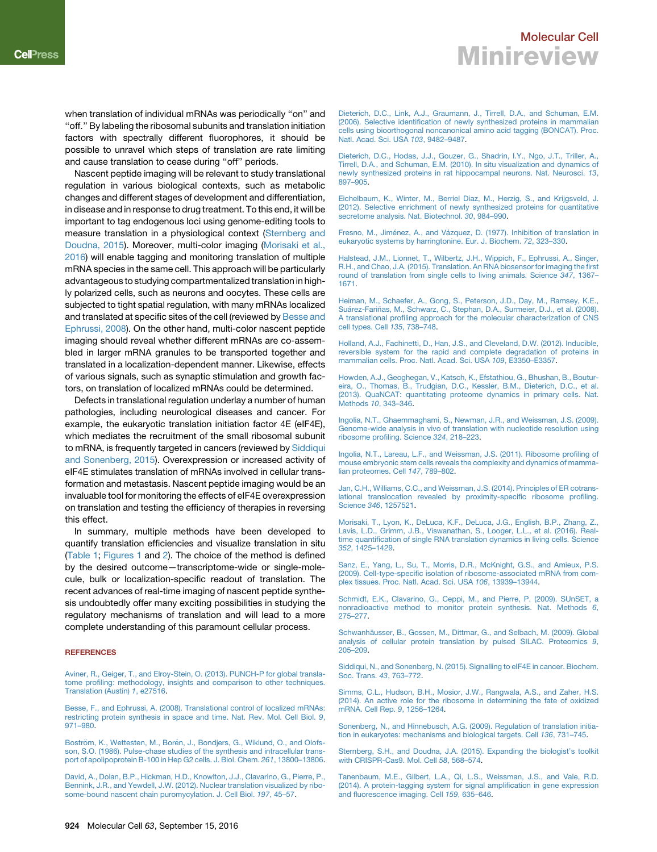<span id="page-6-13"></span>when translation of individual mRNAs was periodically ''on'' and ''off.'' By labeling the ribosomal subunits and translation initiation factors with spectrally different fluorophores, it should be possible to unravel which steps of translation are rate limiting and cause translation to cease during ''off'' periods.

Nascent peptide imaging will be relevant to study translational regulation in various biological contexts, such as metabolic changes and different stages of development and differentiation, in disease and in response to drug treatment. To this end, it will be important to tag endogenous loci using genome-editing tools to measure translation in a physiological context ([Sternberg and](#page-6-27) [Doudna, 2015\)](#page-6-27). Moreover, multi-color imaging [\(Morisaki et al.,](#page-6-0) [2016](#page-6-0)) will enable tagging and monitoring translation of multiple mRNA species in the same cell. This approach will be particularly advantageous to studying compartmentalized translation in highly polarized cells, such as neurons and oocytes. These cells are subjected to tight spatial regulation, with many mRNAs localized and translated at specific sites of the cell (reviewed by [Besse and](#page-6-24) [Ephrussi, 2008\)](#page-6-24). On the other hand, multi-color nascent peptide imaging should reveal whether different mRNAs are co-assembled in larger mRNA granules to be transported together and translated in a localization-dependent manner. Likewise, effects of various signals, such as synaptic stimulation and growth factors, on translation of localized mRNAs could be determined.

Defects in translational regulation underlay a number of human pathologies, including neurological diseases and cancer. For example, the eukaryotic translation initiation factor 4E (eIF4E), which mediates the recruitment of the small ribosomal subunit to mRNA, is frequently targeted in cancers (reviewed by [Siddiqui](#page-6-28) [and Sonenberg, 2015](#page-6-28)). Overexpression or increased activity of eIF4E stimulates translation of mRNAs involved in cellular transformation and metastasis. Nascent peptide imaging would be an invaluable tool for monitoring the effects of eIF4E overexpression on translation and testing the efficiency of therapies in reversing this effect.

In summary, multiple methods have been developed to quantify translation efficiencies and visualize translation in situ ([Table 1](#page-1-0); [Figures 1](#page-3-0) and [2](#page-4-0)). The choice of the method is defined by the desired outcome—transcriptome-wide or single-molecule, bulk or localization-specific readout of translation. The recent advances of real-time imaging of nascent peptide synthesis undoubtedly offer many exciting possibilities in studying the regulatory mechanisms of translation and will lead to a more complete understanding of this paramount cellular process.

### **REFERENCES**

<span id="page-6-5"></span>[Aviner, R., Geiger, T., and Elroy-Stein, O. \(2013\). PUNCH-P for global transla](http://refhub.elsevier.com/S1097-2765(16)30478-6/sref1)[tome profiling: methodology, insights and comparison to other techniques.](http://refhub.elsevier.com/S1097-2765(16)30478-6/sref1) [Translation \(Austin\)](http://refhub.elsevier.com/S1097-2765(16)30478-6/sref1) *1*, e27516.

<span id="page-6-24"></span>[Besse, F., and Ephrussi, A. \(2008\). Translational control of localized mRNAs:](http://refhub.elsevier.com/S1097-2765(16)30478-6/sref2) [restricting protein synthesis in space and time. Nat. Rev. Mol. Cell Biol.](http://refhub.elsevier.com/S1097-2765(16)30478-6/sref2) *9*, [971–980](http://refhub.elsevier.com/S1097-2765(16)30478-6/sref2).

<span id="page-6-21"></span>Boström, K., Wettesten, M., Boré[n, J., Bondjers, G., Wiklund, O., and Olofs](http://refhub.elsevier.com/S1097-2765(16)30478-6/sref3)[son, S.O. \(1986\). Pulse-chase studies of the synthesis and intracellular trans](http://refhub.elsevier.com/S1097-2765(16)30478-6/sref3)[port of apolipoprotein B-100 in Hep G2 cells. J. Biol. Chem.](http://refhub.elsevier.com/S1097-2765(16)30478-6/sref3) *261*, 13800–13806.

<span id="page-6-8"></span>[David, A., Dolan, B.P., Hickman, H.D., Knowlton, J.J., Clavarino, G., Pierre, P.,](http://refhub.elsevier.com/S1097-2765(16)30478-6/sref4) [Bennink, J.R., and Yewdell, J.W. \(2012\). Nuclear translation visualized by ribo](http://refhub.elsevier.com/S1097-2765(16)30478-6/sref4)[some-bound nascent chain puromycylation. J. Cell Biol.](http://refhub.elsevier.com/S1097-2765(16)30478-6/sref4) *197*, 45–57.



<span id="page-6-6"></span>[Dieterich, D.C., Link, A.J., Graumann, J., Tirrell, D.A., and Schuman, E.M.](http://refhub.elsevier.com/S1097-2765(16)30478-6/sref5) [\(2006\). Selective identification of newly synthesized proteins in mammalian](http://refhub.elsevier.com/S1097-2765(16)30478-6/sref5) [cells using bioorthogonal noncanonical amino acid tagging \(BONCAT\). Proc.](http://refhub.elsevier.com/S1097-2765(16)30478-6/sref5) [Natl. Acad. Sci. USA](http://refhub.elsevier.com/S1097-2765(16)30478-6/sref5) *103*, 9482–9487.

<span id="page-6-7"></span>[Dieterich, D.C., Hodas, J.J., Gouzer, G., Shadrin, I.Y., Ngo, J.T., Triller, A.,](http://refhub.elsevier.com/S1097-2765(16)30478-6/sref6) [Tirrell, D.A., and Schuman, E.M. \(2010\). In situ visualization and dynamics of](http://refhub.elsevier.com/S1097-2765(16)30478-6/sref6) [newly synthesized proteins in rat hippocampal neurons. Nat. Neurosci.](http://refhub.elsevier.com/S1097-2765(16)30478-6/sref6) *13*, [897–905](http://refhub.elsevier.com/S1097-2765(16)30478-6/sref6).

[Eichelbaum, K., Winter, M., Berriel Diaz, M., Herzig, S., and Krijgsveld, J.](http://refhub.elsevier.com/S1097-2765(16)30478-6/sref7) [\(2012\). Selective enrichment of newly synthesized proteins for quantitative](http://refhub.elsevier.com/S1097-2765(16)30478-6/sref7) [secretome analysis. Nat. Biotechnol.](http://refhub.elsevier.com/S1097-2765(16)30478-6/sref7) *30*, 984–990.

<span id="page-6-20"></span>Fresno, M., Jiménez, A., and Vá[zquez, D. \(1977\). Inhibition of translation in](http://refhub.elsevier.com/S1097-2765(16)30478-6/sref8) [eukaryotic systems by harringtonine. Eur. J. Biochem.](http://refhub.elsevier.com/S1097-2765(16)30478-6/sref8) *72*, 323–330.

<span id="page-6-9"></span>[Halstead, J.M., Lionnet, T., Wilbertz, J.H., Wippich, F., Ephrussi, A., Singer,](http://refhub.elsevier.com/S1097-2765(16)30478-6/sref9) [R.H., and Chao, J.A. \(2015\). Translation. An RNA biosensor for imaging the first](http://refhub.elsevier.com/S1097-2765(16)30478-6/sref9) [round of translation from single cells to living animals. Science](http://refhub.elsevier.com/S1097-2765(16)30478-6/sref9) *347*, 1367– [1671](http://refhub.elsevier.com/S1097-2765(16)30478-6/sref9).

<span id="page-6-1"></span>[Heiman, M., Schaefer, A., Gong, S., Peterson, J.D., Day, M., Ramsey, K.E.,](http://refhub.elsevier.com/S1097-2765(16)30478-6/sref10)<br>Suárez-Fariñ[as, M., Schwarz, C., Stephan, D.A., Surmeier, D.J., et al. \(2008\).](http://refhub.elsevier.com/S1097-2765(16)30478-6/sref10) [A translational profiling approach for the molecular characterization of CNS](http://refhub.elsevier.com/S1097-2765(16)30478-6/sref10) [cell types. Cell](http://refhub.elsevier.com/S1097-2765(16)30478-6/sref10) *135*, 738–748.

<span id="page-6-23"></span><span id="page-6-18"></span><span id="page-6-17"></span><span id="page-6-16"></span><span id="page-6-15"></span><span id="page-6-14"></span><span id="page-6-12"></span><span id="page-6-11"></span><span id="page-6-10"></span>[Holland, A.J., Fachinetti, D., Han, J.S., and Cleveland, D.W. \(2012\). Inducible,](http://refhub.elsevier.com/S1097-2765(16)30478-6/sref11) [reversible system for the rapid and complete degradation of proteins in](http://refhub.elsevier.com/S1097-2765(16)30478-6/sref11) [mammalian cells. Proc. Natl. Acad. Sci. USA](http://refhub.elsevier.com/S1097-2765(16)30478-6/sref11) *109*, E3350–E3357.

[Howden, A.J., Geoghegan, V., Katsch, K., Efstathiou, G., Bhushan, B., Boutur-](http://refhub.elsevier.com/S1097-2765(16)30478-6/sref12)[eira, O., Thomas, B., Trudgian, D.C., Kessler, B.M., Dieterich, D.C., et al.](http://refhub.elsevier.com/S1097-2765(16)30478-6/sref12) [\(2013\). QuaNCAT: quantitating proteome dynamics in primary cells. Nat.](http://refhub.elsevier.com/S1097-2765(16)30478-6/sref12) Methods *10*[, 343–346.](http://refhub.elsevier.com/S1097-2765(16)30478-6/sref12)

<span id="page-6-2"></span>[Ingolia, N.T., Ghaemmaghami, S., Newman, J.R., and Weissman, J.S. \(2009\).](http://refhub.elsevier.com/S1097-2765(16)30478-6/sref13) [Genome-wide analysis in vivo of translation with nucleotide resolution using](http://refhub.elsevier.com/S1097-2765(16)30478-6/sref13) [ribosome profiling. Science](http://refhub.elsevier.com/S1097-2765(16)30478-6/sref13) *324*, 218–223.

<span id="page-6-22"></span>[Ingolia, N.T., Lareau, L.F., and Weissman, J.S. \(2011\). Ribosome profiling of](http://refhub.elsevier.com/S1097-2765(16)30478-6/sref14) [mouse embryonic stem cells reveals the complexity and dynamics of mamma](http://refhub.elsevier.com/S1097-2765(16)30478-6/sref14)[lian proteomes. Cell](http://refhub.elsevier.com/S1097-2765(16)30478-6/sref14) *147*, 789–802.

<span id="page-6-3"></span>[Jan, C.H., Williams, C.C., and Weissman, J.S. \(2014\). Principles of ER cotrans](http://refhub.elsevier.com/S1097-2765(16)30478-6/sref15)[lational translocation revealed by proximity-specific ribosome profiling.](http://refhub.elsevier.com/S1097-2765(16)30478-6/sref15) Science *346*[, 1257521](http://refhub.elsevier.com/S1097-2765(16)30478-6/sref15).

<span id="page-6-0"></span>[Morisaki, T., Lyon, K., DeLuca, K.F., DeLuca, J.G., English, B.P., Zhang, Z.,](http://refhub.elsevier.com/S1097-2765(16)30478-6/sref16) [Lavis, L.D., Grimm, J.B., Viswanathan, S., Looger, L.L., et al. \(2016\). Real](http://refhub.elsevier.com/S1097-2765(16)30478-6/sref16)[time quantification of single RNA translation dynamics in living cells. Science](http://refhub.elsevier.com/S1097-2765(16)30478-6/sref16) *352*[, 1425–1429.](http://refhub.elsevier.com/S1097-2765(16)30478-6/sref16)

[Sanz, E., Yang, L., Su, T., Morris, D.R., McKnight, G.S., and Amieux, P.S.](http://refhub.elsevier.com/S1097-2765(16)30478-6/sref17) [\(2009\). Cell-type-specific isolation of ribosome-associated mRNA from com](http://refhub.elsevier.com/S1097-2765(16)30478-6/sref17)[plex tissues. Proc. Natl. Acad. Sci. USA](http://refhub.elsevier.com/S1097-2765(16)30478-6/sref17) *106*, 13939–13944.

[Schmidt, E.K., Clavarino, G., Ceppi, M., and Pierre, P. \(2009\). SUnSET, a](http://refhub.elsevier.com/S1097-2765(16)30478-6/sref18) [nonradioactive method to monitor protein synthesis. Nat. Methods](http://refhub.elsevier.com/S1097-2765(16)30478-6/sref18) *6*, [275–277](http://refhub.elsevier.com/S1097-2765(16)30478-6/sref18).

<span id="page-6-4"></span>Schwanhä[usser, B., Gossen, M., Dittmar, G., and Selbach, M. \(2009\). Global](http://refhub.elsevier.com/S1097-2765(16)30478-6/sref19) [analysis of cellular protein translation by pulsed SILAC. Proteomics](http://refhub.elsevier.com/S1097-2765(16)30478-6/sref19) *9*, [205–209](http://refhub.elsevier.com/S1097-2765(16)30478-6/sref19).

<span id="page-6-28"></span>[Siddiqui, N., and Sonenberg, N. \(2015\). Signalling to eIF4E in cancer. Biochem.](http://refhub.elsevier.com/S1097-2765(16)30478-6/sref20) [Soc. Trans.](http://refhub.elsevier.com/S1097-2765(16)30478-6/sref20) *43*, 763–772.

<span id="page-6-25"></span>[Simms, C.L., Hudson, B.H., Mosior, J.W., Rangwala, A.S., and Zaher, H.S.](http://refhub.elsevier.com/S1097-2765(16)30478-6/sref21) [\(2014\). An active role for the ribosome in determining the fate of oxidized](http://refhub.elsevier.com/S1097-2765(16)30478-6/sref21) [mRNA. Cell Rep.](http://refhub.elsevier.com/S1097-2765(16)30478-6/sref21) *9*, 1256–1264.

<span id="page-6-26"></span>[Sonenberg, N., and Hinnebusch, A.G. \(2009\). Regulation of translation initia](http://refhub.elsevier.com/S1097-2765(16)30478-6/sref22)[tion in eukaryotes: mechanisms and biological targets. Cell](http://refhub.elsevier.com/S1097-2765(16)30478-6/sref22) *136*, 731–745.

<span id="page-6-27"></span>[Sternberg, S.H., and Doudna, J.A. \(2015\). Expanding the biologist's toolkit](http://refhub.elsevier.com/S1097-2765(16)30478-6/sref23) [with CRISPR-Cas9. Mol. Cell](http://refhub.elsevier.com/S1097-2765(16)30478-6/sref23) *58*, 568–574.

<span id="page-6-19"></span>[Tanenbaum, M.E., Gilbert, L.A., Qi, L.S., Weissman, J.S., and Vale, R.D.](http://refhub.elsevier.com/S1097-2765(16)30478-6/sref24) [\(2014\). A protein-tagging system for signal amplification in gene expression](http://refhub.elsevier.com/S1097-2765(16)30478-6/sref24) [and fluorescence imaging. Cell](http://refhub.elsevier.com/S1097-2765(16)30478-6/sref24) *159*, 635–646.